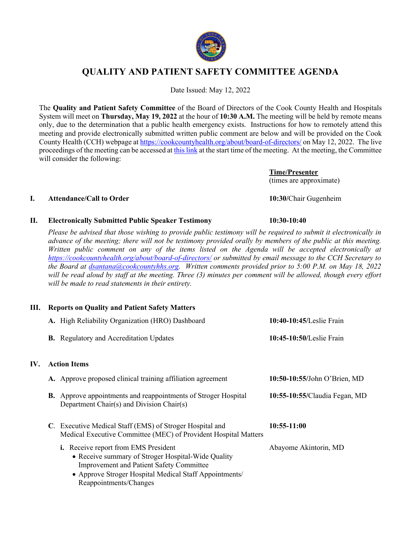

# **QUALITY AND PATIENT SAFETY COMMITTEE AGENDA**

Date Issued: May 12, 2022

The **Quality and Patient Safety Committee** of the Board of Directors of the Cook County Health and Hospitals System will meet on **Thursday, May 19, 2022** at the hour of **10:30 A.M.** The meeting will be held by remote means only, due to the determination that a public health emergency exists. Instructions for how to remotely attend this meeting and provide electronically submitted written public comment are below and will be provided on the Cook County Health (CCH) webpage at https://cookcountyhealth.org/about/board-of-directors/ on May 12, 2022. The live proceedings of the meeting can be accessed at this link at the start time of the meeting. At the meeting, the Committee will consider the following:

> **Time/Presenter** (times are approximate)

### **I. Attendance/Call to Order 10:30/**Chair Gugenheim

IV.

### **II. Electronically Submitted Public Speaker Testimony 10:30-10:40**

*Please be advised that those wishing to provide public testimony will be required to submit it electronically in advance of the meeting; there will not be testimony provided orally by members of the public at this meeting. Written public comment on any of the items listed on the Agenda will be accepted electronically at https://cookcountyhealth.org/about/board-of-directors/ or submitted by email message to the CCH Secretary to the Board at dsantana@cookcountyhhs.org. Written comments provided prior to 5:00 P.M. on May 18, 2022 will be read aloud by staff at the meeting. Three (3) minutes per comment will be allowed, though every effort will be made to read statements in their entirety.*

### **III. Reports on Quality and Patient Safety Matters**

| A. High Reliability Organization (HRO) Dashboard                                                                                                                                                                                  | 10:40-10:45/Leslie Frain      |
|-----------------------------------------------------------------------------------------------------------------------------------------------------------------------------------------------------------------------------------|-------------------------------|
| <b>B.</b> Regulatory and Accreditation Updates                                                                                                                                                                                    | 10:45-10:50/Leslie Frain      |
| <b>Action Items</b>                                                                                                                                                                                                               |                               |
| A. Approve proposed clinical training affiliation agreement                                                                                                                                                                       | 10:50-10:55/John O'Brien, MD  |
| <b>B.</b> Approve appointments and reappointments of Stroger Hospital<br>Department Chair(s) and Division Chair(s)                                                                                                                | 10:55-10:55/Claudia Fegan, MD |
| C. Executive Medical Staff (EMS) of Stroger Hospital and<br>Medical Executive Committee (MEC) of Provident Hospital Matters                                                                                                       | $10:55-11:00$                 |
| i. Receive report from EMS President<br>• Receive summary of Stroger Hospital-Wide Quality<br><b>Improvement and Patient Safety Committee</b><br>• Approve Stroger Hospital Medical Staff Appointments/<br>Reappointments/Changes | Abayome Akintorin, MD         |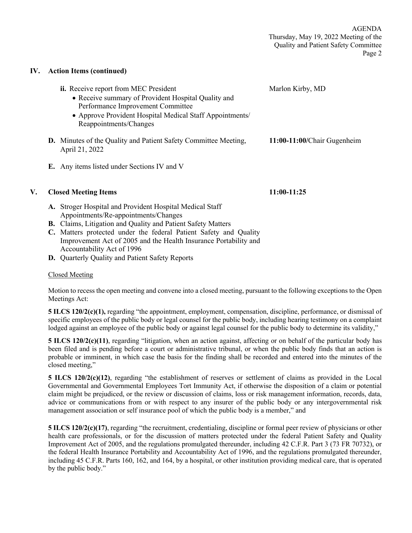### **IV. Action Items (continued)**

|    | ii. Receive report from MEC President<br>• Receive summary of Provident Hospital Quality and<br>Performance Improvement Committee<br>• Approve Provident Hospital Medical Staff Appointments/<br>Reappointments/Changes | Marlon Kirby, MD            |
|----|-------------------------------------------------------------------------------------------------------------------------------------------------------------------------------------------------------------------------|-----------------------------|
|    | <b>D.</b> Minutes of the Quality and Patient Safety Committee Meeting,<br>April 21, 2022                                                                                                                                | 11:00-11:00/Chair Gugenheim |
|    | E. Any items listed under Sections IV and V                                                                                                                                                                             |                             |
| V. | <b>Closed Meeting Items</b>                                                                                                                                                                                             | 11:00-11:25                 |
|    | A. Stroger Hospital and Provident Hospital Medical Staff<br>Appointments/Re-appointments/Changes                                                                                                                        |                             |
|    | <b>B.</b> Claims, Litigation and Quality and Patient Safety Matters                                                                                                                                                     |                             |
|    | C. Matters protected under the federal Patient Safety and Quality                                                                                                                                                       |                             |
|    |                                                                                                                                                                                                                         |                             |

- Improvement Act of 2005 and the Health Insurance Portability and Accountability Act of 1996
- **D.** Quarterly Quality and Patient Safety Reports

### Closed Meeting

Motion to recess the open meeting and convene into a closed meeting, pursuant to the following exceptions to the Open Meetings Act:

**5 ILCS 120/2(c)(1),** regarding "the appointment, employment, compensation, discipline, performance, or dismissal of specific employees of the public body or legal counsel for the public body, including hearing testimony on a complaint lodged against an employee of the public body or against legal counsel for the public body to determine its validity,"

**5 ILCS 120/2(c)(11)**, regarding "litigation, when an action against, affecting or on behalf of the particular body has been filed and is pending before a court or administrative tribunal, or when the public body finds that an action is probable or imminent, in which case the basis for the finding shall be recorded and entered into the minutes of the closed meeting,"

**5 ILCS 120/2(c)(12)**, regarding "the establishment of reserves or settlement of claims as provided in the Local Governmental and Governmental Employees Tort Immunity Act, if otherwise the disposition of a claim or potential claim might be prejudiced, or the review or discussion of claims, loss or risk management information, records, data, advice or communications from or with respect to any insurer of the public body or any intergovernmental risk management association or self insurance pool of which the public body is a member," and

**5 ILCS 120/2(c)(17)**, regarding "the recruitment, credentialing, discipline or formal peer review of physicians or other health care professionals, or for the discussion of matters protected under the federal Patient Safety and Quality Improvement Act of 2005, and the regulations promulgated thereunder, including 42 C.F.R. Part 3 (73 FR 70732), or the federal Health Insurance Portability and Accountability Act of 1996, and the regulations promulgated thereunder, including 45 C.F.R. Parts 160, 162, and 164, by a hospital, or other institution providing medical care, that is operated by the public body."